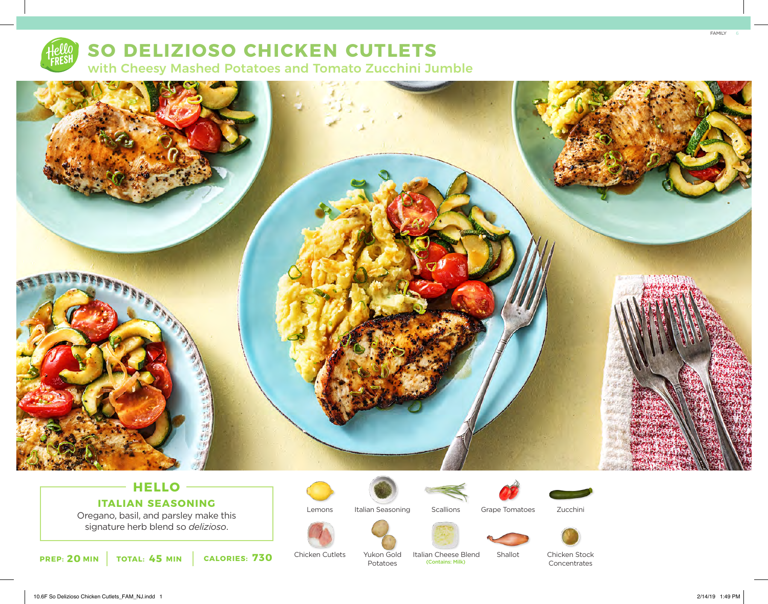

# **SO DELIZIOSO CHICKEN CUTLETS** with Cheesy Mashed Potatoes and Tomato Zucchini Jumble



## **HELLO ITALIAN SEASONING**

Oregano, basil, and parsley make this signature herb blend so *delizioso*.

**PREP: 20 MIN TOTAL: 45 MIN CALORIES: 730** Chicken Cutlets Yukon Gold Italian Cheese B Contains: Milk)



Chicken Cutlets

Italian Seasoning

Yukon Gold Potatoes

**Scallions** 





Zucchini



Italian Cheese Blend<br>
Contains: Milk)



Shallot



Chicken Stock Concentrates

10.6F So Delizioso Chicken Cutlets\_FAM\_NJ.indd 1 2/14/19 1:49 PM

FAMILY